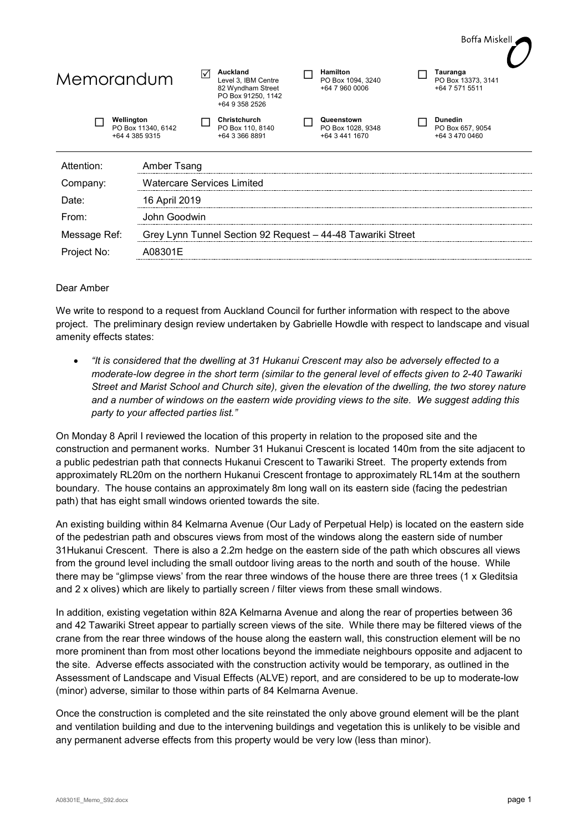

## Dear Amber

We write to respond to a request from Auckland Council for further information with respect to the above project. The preliminary design review undertaken by Gabrielle Howdle with respect to landscape and visual amenity effects states:

• *"It is considered that the dwelling at 31 Hukanui Crescent may also be adversely effected to a moderate-low degree in the short term (similar to the general level of effects given to 2-40 Tawariki Street and Marist School and Church site), given the elevation of the dwelling, the two storey nature and a number of windows on the eastern wide providing views to the site. We suggest adding this party to your affected parties list."*

On Monday 8 April I reviewed the location of this property in relation to the proposed site and the construction and permanent works. Number 31 Hukanui Crescent is located 140m from the site adjacent to a public pedestrian path that connects Hukanui Crescent to Tawariki Street. The property extends from approximately RL20m on the northern Hukanui Crescent frontage to approximately RL14m at the southern boundary. The house contains an approximately 8m long wall on its eastern side (facing the pedestrian path) that has eight small windows oriented towards the site.

An existing building within 84 Kelmarna Avenue (Our Lady of Perpetual Help) is located on the eastern side of the pedestrian path and obscures views from most of the windows along the eastern side of number 31Hukanui Crescent. There is also a 2.2m hedge on the eastern side of the path which obscures all views from the ground level including the small outdoor living areas to the north and south of the house. While there may be "glimpse views' from the rear three windows of the house there are three trees (1 x Gleditsia and 2 x olives) which are likely to partially screen / filter views from these small windows.

In addition, existing vegetation within 82A Kelmarna Avenue and along the rear of properties between 36 and 42 Tawariki Street appear to partially screen views of the site. While there may be filtered views of the crane from the rear three windows of the house along the eastern wall, this construction element will be no more prominent than from most other locations beyond the immediate neighbours opposite and adjacent to the site. Adverse effects associated with the construction activity would be temporary, as outlined in the Assessment of Landscape and Visual Effects (ALVE) report, and are considered to be up to moderate-low (minor) adverse, similar to those within parts of 84 Kelmarna Avenue.

Once the construction is completed and the site reinstated the only above ground element will be the plant and ventilation building and due to the intervening buildings and vegetation this is unlikely to be visible and any permanent adverse effects from this property would be very low (less than minor).